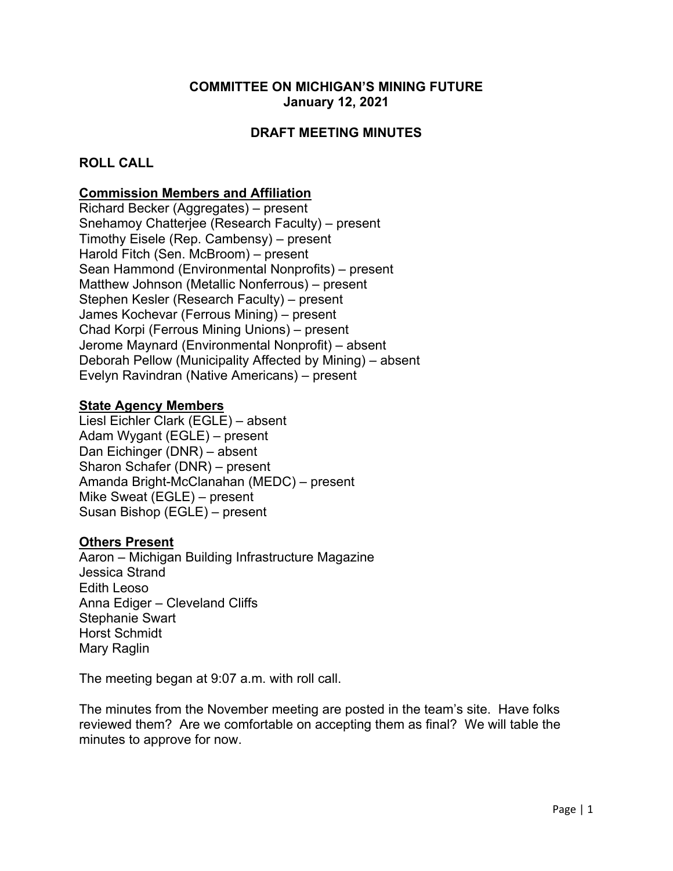# **COMMITTEE ON MICHIGAN'S MINING FUTURE January 12, 2021**

# **DRAFT MEETING MINUTES**

### **ROLL CALL**

### **Commission Members and Affiliation**

Richard Becker (Aggregates) – present Snehamoy Chatterjee (Research Faculty) – present Timothy Eisele (Rep. Cambensy) – present Harold Fitch (Sen. McBroom) – present Sean Hammond (Environmental Nonprofits) – present Matthew Johnson (Metallic Nonferrous) – present Stephen Kesler (Research Faculty) – present James Kochevar (Ferrous Mining) – present Chad Korpi (Ferrous Mining Unions) – present Jerome Maynard (Environmental Nonprofit) – absent Deborah Pellow (Municipality Affected by Mining) – absent Evelyn Ravindran (Native Americans) – present

#### **State Agency Members**

Liesl Eichler Clark (EGLE) – absent Adam Wygant (EGLE) – present Dan Eichinger (DNR) – absent Sharon Schafer (DNR) – present Amanda Bright-McClanahan (MEDC) – present Mike Sweat (EGLE) – present Susan Bishop (EGLE) – present

#### **Others Present**

Aaron – Michigan Building Infrastructure Magazine Jessica Strand Edith Leoso Anna Ediger – Cleveland Cliffs Stephanie Swart Horst Schmidt Mary Raglin

The meeting began at 9:07 a.m. with roll call.

The minutes from the November meeting are posted in the team's site. Have folks reviewed them? Are we comfortable on accepting them as final? We will table the minutes to approve for now.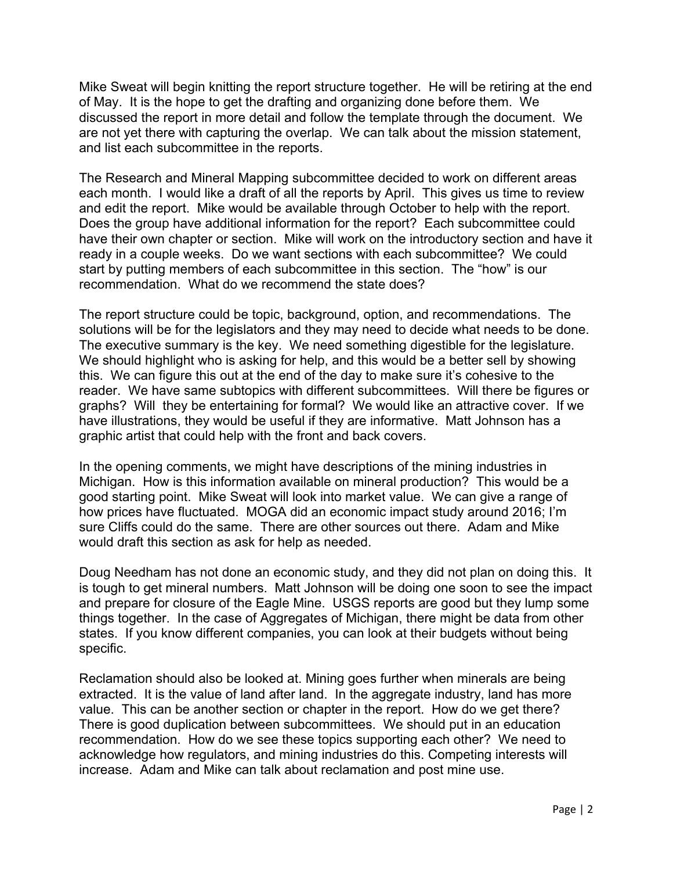Mike Sweat will begin knitting the report structure together. He will be retiring at the end of May. It is the hope to get the drafting and organizing done before them. We discussed the report in more detail and follow the template through the document. We are not yet there with capturing the overlap. We can talk about the mission statement, and list each subcommittee in the reports.

The Research and Mineral Mapping subcommittee decided to work on different areas each month. I would like a draft of all the reports by April. This gives us time to review and edit the report. Mike would be available through October to help with the report. Does the group have additional information for the report? Each subcommittee could have their own chapter or section. Mike will work on the introductory section and have it ready in a couple weeks. Do we want sections with each subcommittee? We could start by putting members of each subcommittee in this section. The "how" is our recommendation. What do we recommend the state does?

The report structure could be topic, background, option, and recommendations. The solutions will be for the legislators and they may need to decide what needs to be done. The executive summary is the key. We need something digestible for the legislature. We should highlight who is asking for help, and this would be a better sell by showing this. We can figure this out at the end of the day to make sure it's cohesive to the reader. We have same subtopics with different subcommittees. Will there be figures or graphs? Will they be entertaining for formal? We would like an attractive cover. If we have illustrations, they would be useful if they are informative. Matt Johnson has a graphic artist that could help with the front and back covers.

In the opening comments, we might have descriptions of the mining industries in Michigan. How is this information available on mineral production? This would be a good starting point. Mike Sweat will look into market value. We can give a range of how prices have fluctuated. MOGA did an economic impact study around 2016; I'm sure Cliffs could do the same. There are other sources out there. Adam and Mike would draft this section as ask for help as needed.

Doug Needham has not done an economic study, and they did not plan on doing this. It is tough to get mineral numbers. Matt Johnson will be doing one soon to see the impact and prepare for closure of the Eagle Mine. USGS reports are good but they lump some things together. In the case of Aggregates of Michigan, there might be data from other states. If you know different companies, you can look at their budgets without being specific.

Reclamation should also be looked at. Mining goes further when minerals are being extracted. It is the value of land after land. In the aggregate industry, land has more value. This can be another section or chapter in the report. How do we get there? There is good duplication between subcommittees. We should put in an education recommendation. How do we see these topics supporting each other? We need to acknowledge how regulators, and mining industries do this. Competing interests will increase. Adam and Mike can talk about reclamation and post mine use.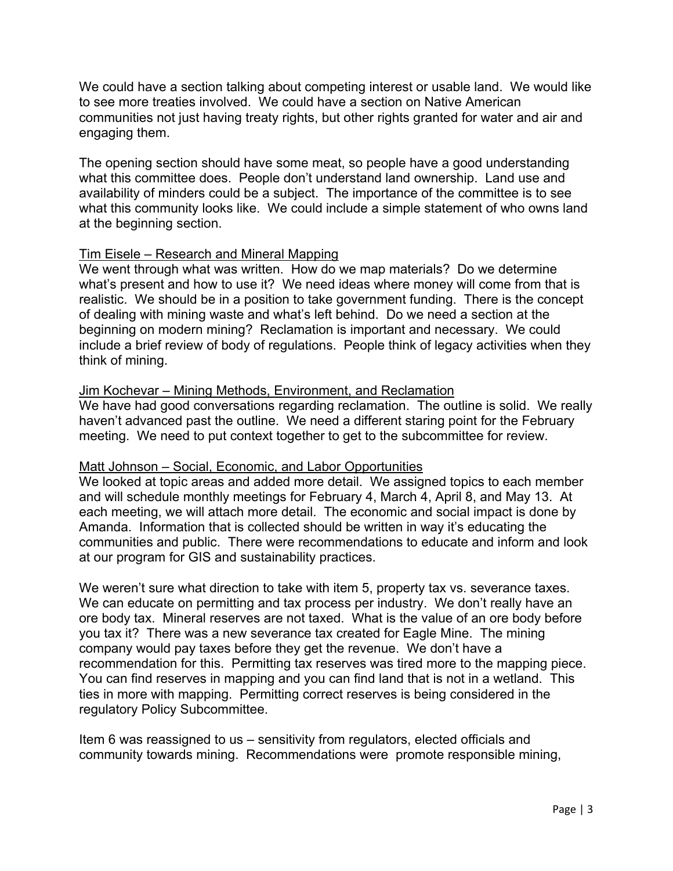We could have a section talking about competing interest or usable land. We would like to see more treaties involved. We could have a section on Native American communities not just having treaty rights, but other rights granted for water and air and engaging them.

The opening section should have some meat, so people have a good understanding what this committee does. People don't understand land ownership. Land use and availability of minders could be a subject. The importance of the committee is to see what this community looks like. We could include a simple statement of who owns land at the beginning section.

# Tim Eisele – Research and Mineral Mapping

We went through what was written. How do we map materials? Do we determine what's present and how to use it? We need ideas where money will come from that is realistic. We should be in a position to take government funding. There is the concept of dealing with mining waste and what's left behind. Do we need a section at the beginning on modern mining? Reclamation is important and necessary. We could include a brief review of body of regulations. People think of legacy activities when they think of mining.

# Jim Kochevar – Mining Methods, Environment, and Reclamation

We have had good conversations regarding reclamation. The outline is solid. We really haven't advanced past the outline. We need a different staring point for the February meeting. We need to put context together to get to the subcommittee for review.

# Matt Johnson – Social, Economic, and Labor Opportunities

We looked at topic areas and added more detail. We assigned topics to each member and will schedule monthly meetings for February 4, March 4, April 8, and May 13. At each meeting, we will attach more detail. The economic and social impact is done by Amanda. Information that is collected should be written in way it's educating the communities and public. There were recommendations to educate and inform and look at our program for GIS and sustainability practices.

We weren't sure what direction to take with item 5, property tax vs. severance taxes. We can educate on permitting and tax process per industry. We don't really have an ore body tax. Mineral reserves are not taxed. What is the value of an ore body before you tax it? There was a new severance tax created for Eagle Mine. The mining company would pay taxes before they get the revenue. We don't have a recommendation for this. Permitting tax reserves was tired more to the mapping piece. You can find reserves in mapping and you can find land that is not in a wetland. This ties in more with mapping. Permitting correct reserves is being considered in the regulatory Policy Subcommittee.

Item 6 was reassigned to us – sensitivity from regulators, elected officials and community towards mining. Recommendations were promote responsible mining,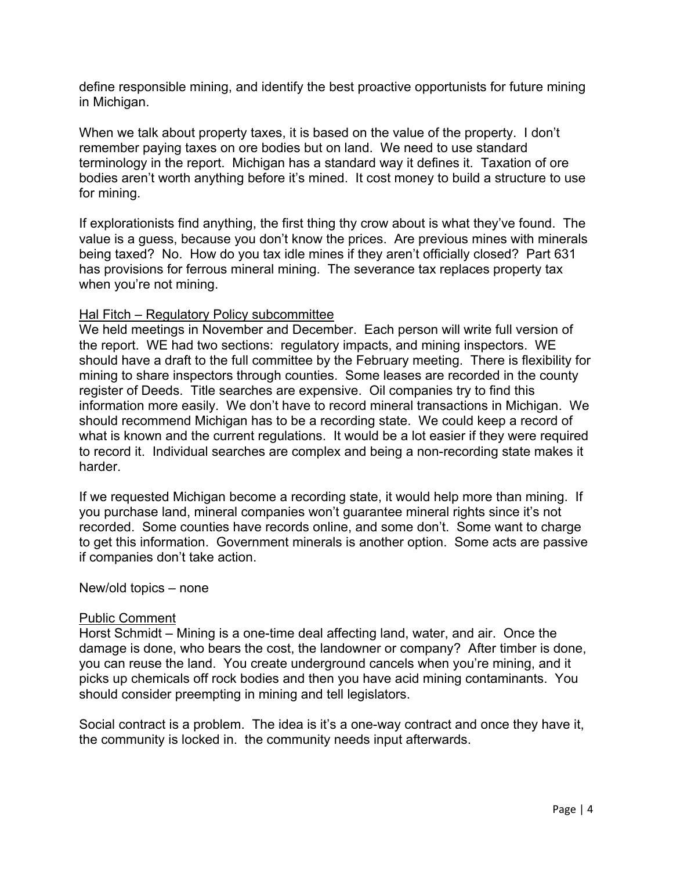define responsible mining, and identify the best proactive opportunists for future mining in Michigan.

When we talk about property taxes, it is based on the value of the property. I don't remember paying taxes on ore bodies but on land. We need to use standard terminology in the report. Michigan has a standard way it defines it. Taxation of ore bodies aren't worth anything before it's mined. It cost money to build a structure to use for mining.

If explorationists find anything, the first thing thy crow about is what they've found. The value is a guess, because you don't know the prices. Are previous mines with minerals being taxed? No. How do you tax idle mines if they aren't officially closed? Part 631 has provisions for ferrous mineral mining. The severance tax replaces property tax when you're not mining.

#### Hal Fitch – Regulatory Policy subcommittee

We held meetings in November and December. Each person will write full version of the report. WE had two sections: regulatory impacts, and mining inspectors. WE should have a draft to the full committee by the February meeting. There is flexibility for mining to share inspectors through counties. Some leases are recorded in the county register of Deeds. Title searches are expensive. Oil companies try to find this information more easily. We don't have to record mineral transactions in Michigan. We should recommend Michigan has to be a recording state. We could keep a record of what is known and the current regulations. It would be a lot easier if they were required to record it. Individual searches are complex and being a non-recording state makes it harder.

If we requested Michigan become a recording state, it would help more than mining. If you purchase land, mineral companies won't guarantee mineral rights since it's not recorded. Some counties have records online, and some don't. Some want to charge to get this information. Government minerals is another option. Some acts are passive if companies don't take action.

New/old topics – none

#### Public Comment

Horst Schmidt – Mining is a one-time deal affecting land, water, and air. Once the damage is done, who bears the cost, the landowner or company? After timber is done, you can reuse the land. You create underground cancels when you're mining, and it picks up chemicals off rock bodies and then you have acid mining contaminants. You should consider preempting in mining and tell legislators.

Social contract is a problem. The idea is it's a one-way contract and once they have it, the community is locked in. the community needs input afterwards.